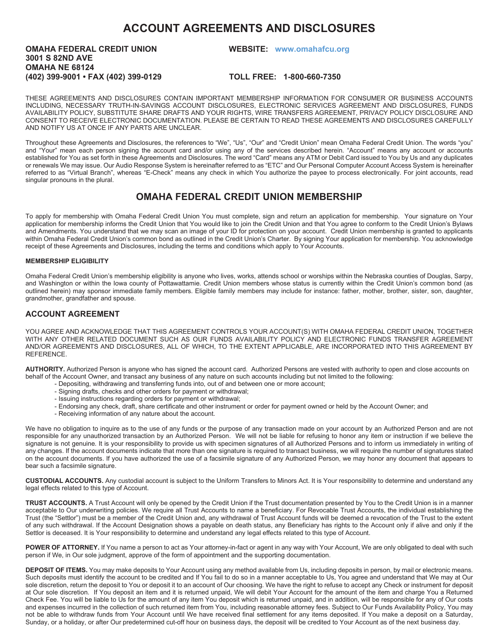# **ACCOUNT AGREEMENTS AND DISCLOSURES**

## **OMAHA FEDERAL CREDIT UNION WEBSITE: www.omahafcu.org 3001 S 82ND AVE OMAHA NE 68124 (402) 399-9001 • FAX (402) 399-0129 TOLL FREE: 1-800-660-7350**

THESE AGREEMENTS AND DISCLOSURES CONTAIN IMPORTANT MEMBERSHIP INFORMATION FOR CONSUMER OR BUSINESS ACCOUNTS INCLUDING, NECESSARY TRUTH-IN-SAVINGS ACCOUNT DISCLOSURES, ELECTRONIC SERVICES AGREEMENT AND DISCLOSURES, FUNDS AVAILABILITY POLICY, SUBSTITUTE SHARE DRAFTS AND YOUR RIGHTS, WIRE TRANSFERS AGREEMENT, PRIVACY POLICY DISCLOSURE AND CONSENT TO RECEIVE ELECTRONIC DOCUMENTATION. PLEASE BE CERTAIN TO READ THESE AGREEMENTS AND DISCLOSURES CAREFULLY AND NOTIFY US AT ONCE IF ANY PARTS ARE UNCLEAR.

Throughout these Agreements and Disclosures, the references to "We", "Us", "Our" and "Credit Union" mean Omaha Federal Credit Union. The words "you" and "Your" mean each person signing the account card and/or using any of the services described herein. "Account" means any account or accounts established for You as set forth in these Agreements and Disclosures. The word "Card" means any ATM or Debit Card issued to You by Us and any duplicates or renewals We may issue. Our Audio Response System is hereinafter referred to as "ETC" and Our Personal Computer Account Access System is hereinafter referred to as "Virtual Branch", whereas "E-Check" means any check in which You authorize the payee to process electronically. For joint accounts, read singular pronouns in the plural.

## **OMAHA FEDERAL CREDIT UNION MEMBERSHIP**

To apply for membership with Omaha Federal Credit Union You must complete, sign and return an application for membership. Your signature on Your application for membership informs the Credit Union that You would like to join the Credit Union and that You agree to conform to the Credit Union's Bylaws and Amendments. You understand that we may scan an image of your ID for protection on your account. Credit Union membership is granted to applicants within Omaha Federal Credit Union's common bond as outlined in the Credit Union's Charter. By signing Your application for membership. You acknowledge receipt of these Agreements and Disclosures, including the terms and conditions which apply to Your Accounts.

## **MEMBERSHIP ELIGIBILITY**

Omaha Federal Credit Union's membership eligibility is anyone who lives, works, attends school or worships within the Nebraska counties of Douglas, Sarpy, and Washington or within the Iowa county of Pottawattamie. Credit Union members whose status is currently within the Credit Union's common bond (as outlined herein) may sponsor immediate family members. Eligible family members may include for instance: father, mother, brother, sister, son, daughter, grandmother, grandfather and spouse.

## **ACCOUNT AGREEMENT**

YOU AGREE AND ACKNOWLEDGE THAT THIS AGREEMENT CONTROLS YOUR ACCOUNT(S) WITH OMAHA FEDERAL CREDIT UNION, TOGETHER WITH ANY OTHER RELATED DOCUMENT SUCH AS OUR FUNDS AVAILABILITY POLICY AND ELECTRONIC FUNDS TRANSFER AGREEMENT AND/OR AGREEMENTS AND DISCLOSURES, ALL OF WHICH, TO THE EXTENT APPLICABLE, ARE INCORPORATED INTO THIS AGREEMENT BY REFERENCE.

**AUTHORITY.** Authorized Person is anyone who has signed the account card. Authorized Persons are vested with authority to open and close accounts on behalf of the Account Owner, and transact any business of any nature on such accounts including but not limited to the following:

- Depositing, withdrawing and transferring funds into, out of and between one or more account;
	- Signing drafts, checks and other orders for payment or withdrawal;
- Issuing instructions regarding orders for payment or withdrawal;
- Endorsing any check, draft, share certificate and other instrument or order for payment owned or held by the Account Owner; and
- Receiving information of any nature about the account.

We have no obligation to inquire as to the use of any funds or the purpose of any transaction made on your account by an Authorized Person and are not responsible for any unauthorized transaction by an Authorized Person. We will not be liable for refusing to honor any item or instruction if we believe the signature is not genuine. It is your responsibility to provide us with specimen signatures of all Authorized Persons and to inform us immediately in writing of any changes. If the account documents indicate that more than one signature is required to transact business, we will require the number of signatures stated on the account documents. If you have authorized the use of a facsimile signature of any Authorized Person, we may honor any document that appears to bear such a facsimile signature.

**CUSTODIAL ACCOUNTS.** Any custodial account is subject to the Uniform Transfers to Minors Act. It is Your responsibility to determine and understand any legal effects related to this type of Account.

**TRUST ACCOUNTS.** A Trust Account will only be opened by the Credit Union if the Trust documentation presented by You to the Credit Union is in a manner acceptable to Our underwriting policies. We require all Trust Accounts to name a beneficiary. For Revocable Trust Accounts, the individual establishing the Trust (the "Settlor") must be a member of the Credit Union and, any withdrawal of Trust Account funds will be deemed a revocation of the Trust to the extent of any such withdrawal. If the Account Designation shows a payable on death status, any Beneficiary has rights to the Account only if alive and only if the Settlor is deceased. It is Your responsibility to determine and understand any legal effects related to this type of Account.

POWER OF ATTORNEY. If You name a person to act as Your attorney-in-fact or agent in any way with Your Account, We are only obligated to deal with such person if We, in Our sole judgment, approve of the form of appointment and the supporting documentation.

**DEPOSIT OF ITEMS.** You may make deposits to Your Account using any method available from Us, including deposits in person, by mail or electronic means. Such deposits must identify the account to be credited and If You fail to do so in a manner acceptable to Us, You agree and understand that We may at Our sole discretion, return the deposit to You or deposit it to an account of Our choosing. We have the right to refuse to accept any Check or instrument for deposit at Our sole discretion. If You deposit an item and it is returned unpaid, We will debit Your Account for the amount of the item and charge You a Returned Check Fee. You will be liable to Us for the amount of any item You deposit which is returned unpaid, and in addition, will be responsible for any of Our costs and expenses incurred in the collection of such returned item from You, including reasonable attorney fees. Subject to Our Funds Availability Policy, You may not be able to withdraw funds from Your Account until We have received final settlement for any items deposited. If You make a deposit on a Saturday, Sunday, or a holiday, or after Our predetermined cut-off hour on business days, the deposit will be credited to Your Account as of the next business day.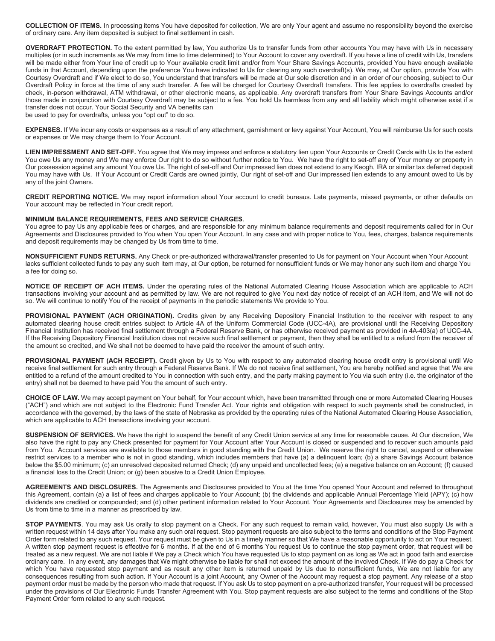**COLLECTION OF ITEMS.** In processing items You have deposited for collection, We are only Your agent and assume no responsibility beyond the exercise of ordinary care. Any item deposited is subject to final settlement in cash.

**OVERDRAFT PROTECTION.** To the extent permitted by law, You authorize Us to transfer funds from other accounts You may have with Us in necessary multiples (or in such increments as We may from time to time determined) to Your Account to cover any overdraft. If you have a line of credit with Us, transfers will be made either from Your line of credit up to Your available credit limit and/or from Your Share Savings Accounts, provided You have enough available funds in that Account, depending upon the preference You have indicated to Us for clearing any such overdraft(s). We may, at Our option, provide You with Courtesy Overdraft and if We elect to do so, You understand that transfers will be made at Our sole discretion and in an order of our choosing, subject to Our Overdraft Policy in force at the time of any such transfer. A fee will be charged for Courtesy Overdraft transfers. This fee applies to overdrafts created by check, in-person withdrawal, ATM withdrawal, or other electronic means, as applicable. Any overdraft transfers from Your Share Savings Accounts and/or those made in conjunction with Courtesy Overdraft may be subject to a fee. You hold Us harmless from any and all liability which might otherwise exist if a transfer does not occur. Your Social Security and VA benefits can

be used to pay for overdrafts, unless you "opt out" to do so.

**EXPENSES.** If We incur any costs or expenses as a result of any attachment, garnishment or levy against Your Account, You will reimburse Us for such costs or expenses or We may charge them to Your Account.

**LIEN IMPRESSMENT AND SET-OFF.** You agree that We may impress and enforce a statutory lien upon Your Accounts or Credit Cards with Us to the extent You owe Us any money and We may enforce Our right to do so without further notice to You. We have the right to set-off any of Your money or property in Our possession against any amount You owe Us. The right of set-off and Our impressed lien does not extend to any Keogh, IRA or similar tax deferred deposit You may have with Us. If Your Account or Credit Cards are owned jointly, Our right of set-off and Our impressed lien extends to any amount owed to Us by any of the joint Owners.

**CREDIT REPORTING NOTICE.** We may report information about Your account to credit bureaus. Late payments, missed payments, or other defaults on Your account may be reflected in Your credit report.

#### **MINIMUM BALANCE REQUIREMENTS, FEES AND SERVICE CHARGES**.

You agree to pay Us any applicable fees or charges, and are responsible for any minimum balance requirements and deposit requirements called for in Our Agreements and Disclosures provided to You when You open Your Account. In any case and with proper notice to You, fees, charges, balance requirements and deposit requirements may be changed by Us from time to time.

**NONSUFFICIENT FUNDS RETURNS.** Any Check or pre-authorized withdrawal/transfer presented to Us for payment on Your Account when Your Account lacks sufficient collected funds to pay any such item may, at Our option, be returned for nonsufficient funds or We may honor any such item and charge You a fee for doing so.

**NOTICE OF RECEIPT OF ACH ITEMS.** Under the operating rules of the National Automated Clearing House Association which are applicable to ACH transactions involving your account and as permitted by law. We are not required to give You next day notice of receipt of an ACH item, and We will not do so. We will continue to notify You of the receipt of payments in the periodic statements We provide to You.

PROVISIONAL PAYMENT (ACH ORIGINATION). Credits given by any Receiving Depository Financial Institution to the receiver with respect to any automated clearing house credit entries subject to Article 4A of the Uniform Commercial Code (UCC-4A), are provisional until the Receiving Depository Financial Institution has received final settlement through a Federal Reserve Bank, or has otherwise received payment as provided in 4A-403(a) of UCC-4A. If the Receiving Depository Financial Institution does not receive such final settlement or payment, then they shall be entitled to a refund from the receiver of the amount so credited, and We shall not be deemed to have paid the receiver the amount of such entry.

PROVISIONAL PAYMENT (ACH RECEIPT). Credit given by Us to You with respect to any automated clearing house credit entry is provisional until We receive final settlement for such entry through a Federal Reserve Bank. If We do not receive final settlement, You are hereby notified and agree that We are entitled to a refund of the amount credited to You in connection with such entry, and the party making payment to You via such entry (i.e. the originator of the entry) shall not be deemed to have paid You the amount of such entry.

**CHOICE OF LAW.** We may accept payment on Your behalf, for Your account which, have been transmitted through one or more Automated Clearing Houses ("ACH") and which are not subject to the Electronic Fund Transfer Act. Your rights and obligation with respect to such payments shall be constructed, in accordance with the governed, by the laws of the state of Nebraska as provided by the operating rules of the National Automated Clearing House Association, which are applicable to ACH transactions involving your account.

**SUSPENSION OF SERVICES.** We have the right to suspend the benefit of any Credit Union service at any time for reasonable cause. At Our discretion, We also have the right to pay any Check presented for payment for Your Account after Your Account is closed or suspended and to recover such amounts paid from You. Account services are available to those members in good standing with the Credit Union. We reserve the right to cancel, suspend or otherwise restrict services to a member who is not in good standing, which includes members that have (a) a delinguent loan; (b) a share Savings Account balance below the \$5.00 minimum; (c) an unresolved deposited returned Check; (d) any unpaid and uncollected fees; (e) a negative balance on an Account; (f) caused a financial loss to the Credit Union; or (g) been abusive to a Credit Union Employee.

**AGREEMENTS AND DISCLOSURES.** The Agreements and Disclosures provided to You at the time You opened Your Account and referred to throughout this Agreement, contain (a) a list of fees and charges applicable to Your Account; (b) the dividends and applicable Annual Percentage Yield (APY); (c) how dividends are credited or compounded; and (d) other pertinent information related to Your Account. Your Agreements and Disclosures may be amended by Us from time to time in a manner as prescribed by law.

**STOP PAYMENTS**. You may ask Us orally to stop payment on a Check. For any such request to remain valid, however, You must also supply Us with a written request within 14 days after You make any such oral request. Stop payment requests are also subject to the terms and conditions of the Stop Payment Order form related to any such request. Your request must be given to Us in a timely manner so that We have a reasonable opportunity to act on Your request. A written stop payment request is effective for 6 months. If at the end of 6 months You request Us to continue the stop payment order, that request will be treated as a new request. We are not liable if We pay a Check which You have requested Us to stop payment on as long as We act in good faith and exercise ordinary care. In any event, any damages that We might otherwise be liable for shall not exceed the amount of the involved Check. If We do pay a Check for which You have requested stop payment and as result any other item is returned unpaid by Us due to nonsufficient funds, We are not liable for any consequences resulting from such action. If Your Account is a joint Account, any Owner of the Account may request a stop payment. Any release of a stop payment order must be made by the person who made that request. If You ask Us to stop payment on a pre-authorized transfer, Your request will be processed under the provisions of Our Electronic Funds Transfer Agreement with You. Stop payment requests are also subject to the terms and conditions of the Stop Payment Order form related to any such request.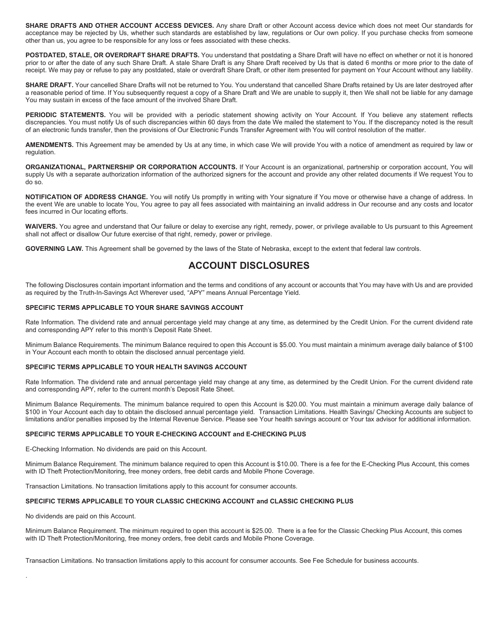**SHARE DRAFTS AND OTHER ACCOUNT ACCESS DEVICES.** Any share Draft or other Account access device which does not meet Our standards for acceptance may be rejected by Us, whether such standards are established by law, regulations or Our own policy. If you purchase checks from someone other than us, you agree to be responsible for any loss or fees associated with these checks.

**POSTDATED, STALE, OR OVERDRAFT SHARE DRAFTS.** You understand that postdating a Share Draft will have no effect on whether or not it is honored prior to or after the date of any such Share Draft. A stale Share Draft is any Share Draft received by Us that is dated 6 months or more prior to the date of receipt. We may pay or refuse to pay any postdated, stale or overdraft Share Draft, or other item presented for payment on Your Account without any liability.

SHARE DRAFT. Your cancelled Share Drafts will not be returned to You. You understand that cancelled Share Drafts retained by Us are later destroyed after a reasonable period of time. If You subsequently request a copy of a Share Draft and We are unable to supply it, then We shall not be liable for any damage You may sustain in excess of the face amount of the involved Share Draft.

PERIODIC STATEMENTS. You will be provided with a periodic statement showing activity on Your Account. If You believe any statement reflects discrepancies. You must notify Us of such discrepancies within 60 days from the date We mailed the statement to You. If the discrepancy noted is the result of an electronic funds transfer, then the provisions of Our Electronic Funds Transfer Agreement with You will control resolution of the matter.

**AMENDMENTS.** This Agreement may be amended by Us at any time, in which case We will provide You with a notice of amendment as required by law or regulation.

**ORGANIZATIONAL, PARTNERSHIP OR CORPORATION ACCOUNTS.** If Your Account is an organizational, partnership or corporation account, You will supply Us with a separate authorization information of the authorized signers for the account and provide any other related documents if We request You to do so.

**NOTIFICATION OF ADDRESS CHANGE.** You will notify Us promptly in writing with Your signature if You move or otherwise have a change of address. In the event We are unable to locate You, You agree to pay all fees associated with maintaining an invalid address in Our recourse and any costs and locator fees incurred in Our locating efforts.

WAIVERS. You agree and understand that Our failure or delay to exercise any right, remedy, power, or privilege available to Us pursuant to this Agreement shall not affect or disallow Our future exercise of that right, remedy, power or privilege.

**GOVERNING LAW.** This Agreement shall be governed by the laws of the State of Nebraska, except to the extent that federal law controls.

## **ACCOUNT DISCLOSURES**

The following Disclosures contain important information and the terms and conditions of any account or accounts that You may have with Us and are provided as required by the Truth-In-Savings Act Wherever used, "APY" means Annual Percentage Yield.

## **SPECIFIC TERMS APPLICABLE TO YOUR SHARE SAVINGS ACCOUNT**

Rate Information. The dividend rate and annual percentage yield may change at any time, as determined by the Credit Union. For the current dividend rate and corresponding APY refer to this month's Deposit Rate Sheet.

Minimum Balance Requirements. The minimum Balance required to open this Account is \$5.00. You must maintain a minimum average daily balance of \$100 in Your Account each month to obtain the disclosed annual percentage yield.

#### **SPECIFIC TERMS APPLICABLE TO YOUR HEALTH SAVINGS ACCOUNT**

Rate Information. The dividend rate and annual percentage yield may change at any time, as determined by the Credit Union. For the current dividend rate and corresponding APY, refer to the current month's Deposit Rate Sheet.

Minimum Balance Requirements. The minimum balance required to open this Account is \$20.00. You must maintain a minimum average daily balance of \$100 in Your Account each day to obtain the disclosed annual percentage yield. Transaction Limitations. Health Savings/ Checking Accounts are subject to limitations and/or penalties imposed by the Internal Revenue Service. Please see Your health savings account or Your tax advisor for additional information.

#### **SPECIFIC TERMS APPLICABLE TO YOUR E-CHECKING ACCOUNT and E-CHECKING PLUS**

E-Checking Information. No dividends are paid on this Account.

Minimum Balance Requirement. The minimum balance required to open this Account is \$10.00. There is a fee for the E-Checking Plus Account, this comes with ID Theft Protection/Monitoring, free money orders, free debit cards and Mobile Phone Coverage.

Transaction Limitations. No transaction limitations apply to this account for consumer accounts.

## **SPECIFIC TERMS APPLICABLE TO YOUR CLASSIC CHECKING ACCOUNT and CLASSIC CHECKING PLUS**

No dividends are paid on this Account.

.

Minimum Balance Requirement. The minimum required to open this account is \$25.00. There is a fee for the Classic Checking Plus Account, this comes with ID Theft Protection/Monitoring, free money orders, free debit cards and Mobile Phone Coverage.

Transaction Limitations. No transaction limitations apply to this account for consumer accounts. See Fee Schedule for business accounts.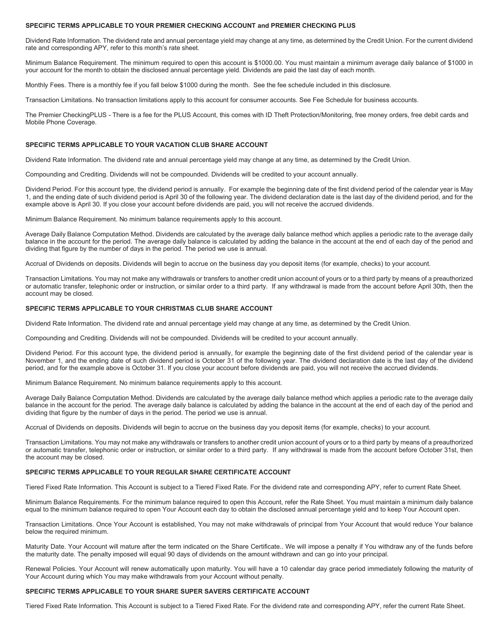## **SPECIFIC TERMS APPLICABLE TO YOUR PREMIER CHECKING ACCOUNT and PREMIER CHECKING PLUS**

Dividend Rate Information. The dividend rate and annual percentage yield may change at any time, as determined by the Credit Union. For the current dividend rate and corresponding APY, refer to this month's rate sheet.

Minimum Balance Requirement. The minimum required to open this account is \$1000.00. You must maintain a minimum average daily balance of \$1000 in your account for the month to obtain the disclosed annual percentage yield. Dividends are paid the last day of each month.

Monthly Fees. There is a monthly fee if you fall below \$1000 during the month. See the fee schedule included in this disclosure.

Transaction Limitations. No transaction limitations apply to this account for consumer accounts. See Fee Schedule for business accounts.

The Premier CheckingPLUS - There is a fee for the PLUS Account, this comes with ID Theft Protection/Monitoring, free money orders, free debit cards and Mobile Phone Coverage.

## **SPECIFIC TERMS APPLICABLE TO YOUR VACATION CLUB SHARE ACCOUNT**

Dividend Rate Information. The dividend rate and annual percentage yield may change at any time, as determined by the Credit Union.

Compounding and Crediting. Dividends will not be compounded. Dividends will be credited to your account annually.

Dividend Period. For this account type, the dividend period is annually. For example the beginning date of the first dividend period of the calendar year is May 1, and the ending date of such dividend period is April 30 of the following year. The dividend declaration date is the last day of the dividend period, and for the example above is April 30. If you close your account before dividends are paid, you will not receive the accrued dividends.

Minimum Balance Requirement. No minimum balance requirements apply to this account.

Average Daily Balance Computation Method. Dividends are calculated by the average daily balance method which applies a periodic rate to the average daily balance in the account for the period. The average daily balance is calculated by adding the balance in the account at the end of each day of the period and dividing that figure by the number of days in the period. The period we use is annual.

Accrual of Dividends on deposits. Dividends will begin to accrue on the business day you deposit items (for example, checks) to your account.

Transaction Limitations. You may not make any withdrawals or transfers to another credit union account of yours or to a third party by means of a preauthorized or automatic transfer, telephonic order or instruction, or similar order to a third party. If any withdrawal is made from the account before April 30th, then the account may be closed.

## **SPECIFIC TERMS APPLICABLE TO YOUR CHRISTMAS CLUB SHARE ACCOUNT**

Dividend Rate Information. The dividend rate and annual percentage yield may change at any time, as determined by the Credit Union.

Compounding and Crediting. Dividends will not be compounded. Dividends will be credited to your account annually.

Dividend Period. For this account type, the dividend period is annually, for example the beginning date of the first dividend period of the calendar year is November 1, and the ending date of such dividend period is October 31 of the following year. The dividend declaration date is the last day of the dividend period, and for the example above is October 31. If you close your account before dividends are paid, you will not receive the accrued dividends.

Minimum Balance Requirement. No minimum balance requirements apply to this account.

Average Daily Balance Computation Method. Dividends are calculated by the average daily balance method which applies a periodic rate to the average daily balance in the account for the period. The average daily balance is calculated by adding the balance in the account at the end of each day of the period and dividing that figure by the number of days in the period. The period we use is annual.

Accrual of Dividends on deposits. Dividends will begin to accrue on the business day you deposit items (for example, checks) to your account.

Transaction Limitations. You may not make any withdrawals or transfers to another credit union account of yours or to a third party by means of a preauthorized or automatic transfer, telephonic order or instruction, or similar order to a third party. If any withdrawal is made from the account before October 31st, then the account may be closed.

## **SPECIFIC TERMS APPLICABLE TO YOUR REGULAR SHARE CERTIFICATE ACCOUNT**

Tiered Fixed Rate Information. This Account is subject to a Tiered Fixed Rate. For the dividend rate and corresponding APY, refer to current Rate Sheet.

Minimum Balance Requirements. For the minimum balance required to open this Account, refer the Rate Sheet. You must maintain a minimum daily balance equal to the minimum balance required to open Your Account each day to obtain the disclosed annual percentage yield and to keep Your Account open.

Transaction Limitations. Once Your Account is established, You may not make withdrawals of principal from Your Account that would reduce Your balance below the required minimum.

Maturity Date. Your Account will mature after the term indicated on the Share Certificate.. We will impose a penalty if You withdraw any of the funds before the maturity date. The penalty imposed will equal 90 days of dividends on the amount withdrawn and can go into your principal.

Renewal Policies. Your Account will renew automatically upon maturity. You will have a 10 calendar day grace period immediately following the maturity of Your Account during which You may make withdrawals from your Account without penalty.

## **SPECIFIC TERMS APPLICABLE TO YOUR SHARE SUPER SAVERS CERTIFICATE ACCOUNT**

Tiered Fixed Rate Information. This Account is subject to a Tiered Fixed Rate. For the dividend rate and corresponding APY, refer the current Rate Sheet.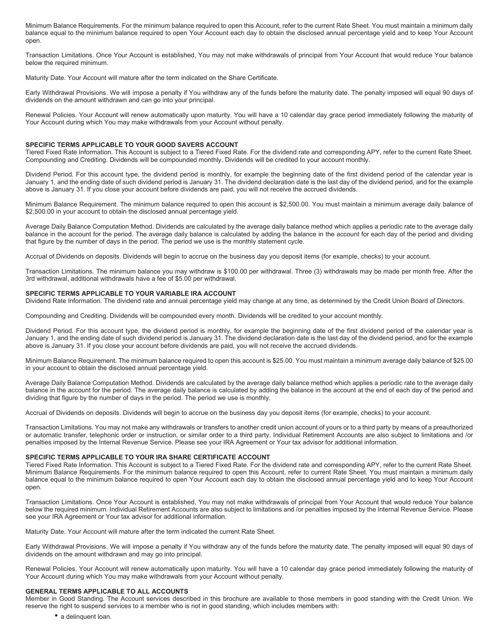Minimum Balance Requirements. For the minimum balance required to open this Account, refer to the current Rate Sheet. You must maintain a minimum daily balance equal to the minimum balance required to open Your Account each day to obtain the disclosed annual percentage yield and to keep Your Account open.

Transaction Limitations. Once Your Account is established, You may not make withdrawals of principal from Your Account that would reduce Your balance below the required minimum.

Maturity Date. Your Account will mature after the term indicated on the Share Certificate.

Early Withdrawal Provisions. We will impose a penalty if You withdraw any of the funds before the maturity date. The penalty imposed will equal 90 days of dividends on the amount withdrawn and can go into your principal.

Renewal Policies. Your Account will renew automatically upon maturity. You will have a 10 calendar day grace period immediately following the maturity of Your Account during which You may make withdrawals from your Account without penalty.

#### **SPECIFIC TERMS APPLICABLE TO YOUR GOOD SAVERS ACCOUNT**

Tiered Fixed Rate Information. This Account is subject to a Tiered Fixed Rate. For the dividend rate and corresponding APY, refer to the current Rate Sheet. Compounding and Crediting. Dividends will be compounded monthly. Dividends will be credited to your account monthly.

Dividend Period. For this account type, the dividend period is monthly, for example the beginning date of the first dividend period of the calendar year is January 1, and the ending date of such dividend period is January 31. The dividend declaration date is the last day of the dividend period, and for the example above is January 31. If you close your account before dividends are paid, you will not receive the accrued dividends.

Minimum Balance Requirement. The minimum balance required to open this account is \$2,500.00. You must maintain a minimum average daily balance of \$2,500.00 in your account to obtain the disclosed annual percentage yield.

Average Daily Balance Computation Method. Dividends are calculated by the average daily balance method which applies a periodic rate to the average daily balance in the account for the period. The average daily balance is calculated by adding the balance in the account for each day of the period and dividing that figure by the number of days in the period. The period we use is the monthly statement cycle.

Accrual of Dividends on deposits. Dividends will begin to accrue on the business day you deposit items (for example, checks) to your account.

Transaction Limitations. The minimum balance you may withdraw is \$100.00 per withdrawal. Three (3) withdrawals may be made per month free. After the 3rd withdrawal, additional withdrawals have a fee of \$5.00 per withdrawal.

## **SPECIFIC TERMS APPLICABLE TO YOUR VARIABLE IRA ACCOUNT**

Dividend Rate Information. The dividend rate and annual percentage yield may change at any time, as determined by the Credit Union Board of Directors.

Compounding and Crediting. Dividends will be compounded every month. Dividends will be credited to your account monthly.

Dividend Period. For this account type, the dividend period is monthly, for example the beginning date of the first dividend period of the calendar year is January 1, and the ending date of such dividend period is January 31. The dividend declaration date is the last day of the dividend period, and for the example above is January 31. If you close your account before dividends are paid, you will not receive the accrued dividends.

Minimum Balance Requirement. The minimum balance required to open this account is \$25.00. You must maintain a minimum average daily balance of \$25.00 in your account to obtain the disclosed annual percentage yield.

Average Daily Balance Computation Method. Dividends are calculated by the average daily balance method which applies a periodic rate to the average daily balance in the account for the period. The average daily balance is calculated by adding the balance in the account at the end of each day of the period and dividing that figure by the number of days in the period. The period we use is monthly.

Accrual of Dividends on deposits. Dividends will begin to accrue on the business day you deposit items (for example, checks) to your account.

Transaction Limitations. You may not make any withdrawals or transfers to another credit union account of yours or to a third party by means of a preauthorized or automatic transfer, telephonic order or instruction, or similar order to a third party. Individual Retirement Accounts are also subject to limitations and /or penalties imposed by the Internal Revenue Service. Please see your IRA Agreement or Your tax advisor for additional information.

#### **SPECIFIC TERMS APPLICABLE TO YOUR IRA SHARE CERTIFICATE ACCOUNT**

Tiered Fixed Rate Information. This Account is subject to a Tiered Fixed Rate. For the dividend rate and corresponding APY, refer to the current Rate Sheet. Minimum Balance Requirements. For the minimum balance required to open this Account, refer to current Rate Sheet. You must maintain a minimum daily balance equal to the minimum balance required to open Your Account each day to obtain the disclosed annual percentage yield and to keep Your Account open.

Transaction Limitations. Once Your Account is established, You may not make withdrawals of principal from Your Account that would reduce Your balance below the required minimum. Individual Retirement Accounts are also subject to limitations and /or penalties imposed by the Internal Revenue Service. Please see your IRA Agreement or Your tax advisor for additional information.

Maturity Date. Your Account will mature after the term indicated the current Rate Sheet.

Early Withdrawal Provisions. We will impose a penalty if You withdraw any of the funds before the maturity date. The penalty imposed will equal 90 days of dividends on the amount withdrawn and may go into principal.

Renewal Policies. Your Account will renew automatically upon maturity. You will have a 10 calendar day grace period immediately following the maturity of Your Account during which You may make withdrawals from your Account without penalty.

#### **GENERAL TERMS APPLICABLE TO ALL ACCOUNTS**

Member in Good Standing. The Account services described in this brochure are available to those members in good standing with the Credit Union. We reserve the right to suspend services to a member who is not in good standing, which includes members with:

• a delinquent loan.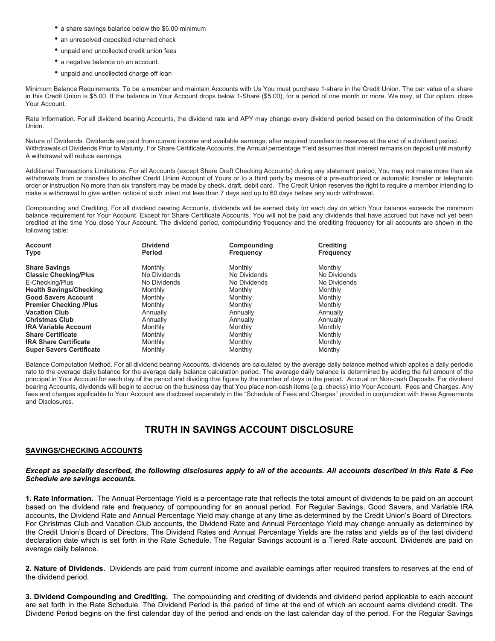- a share savings balance below the \$5.00 minimum
- an unresolved deposited returned check
- unpaid and uncollected credit union fees
- a negative balance on an account.
- unpaid and uncollected charge off loan

Minimum Balance Requirements. To be a member and maintain Accounts with Us You must purchase 1-share in the Credit Union. The par value of a share in this Credit Union is \$5.00. If the balance in Your Account drops below 1-Share (\$5.00), for a period of one month or more. We may, at Our option, close Your Account.

Rate Information. For all dividend bearing Accounts, the dividend rate and APY may change every dividend period based on the determination of the Credit Union.

Nature of Dividends. Dividends are paid from current income and available earnings, after required transfers to reserves at the end of a dividend period. Withdrawals of Dividends Prior to Maturity. For Share Certificate Accounts, the Annual percentage Yield assumes that interest remains on deposit until maturity. A withdrawal will reduce earnings.

Additional Transactions Limitations. For all Accounts (except Share Draft Checking Accounts) during any statement period, You may not make more than six withdrawals from or transfers to another Credit Union Account of Yours or to a third party by means of a pre-authorized or automatic transfer or telephonic order or instruction No more than six transfers may be made by check, draft, debit card. The Credit Union reserves the right to require a member intending to make a withdrawal to give written notice of such intent not less than 7 days and up to 60 days before any such withdrawal.

Compounding and Crediting. For all dividend bearing Accounts, dividends will be earned daily for each day on which Your balance exceeds the minimum balance requirement for Your Account. Except for Share Certificate Accounts, You will not be paid any dividends that have accrued but have not yet been credited at the time You close Your Account. The dividend period, compounding frequency and the crediting frequency for all accounts are shown in the following table:

| Account                         | <b>Dividend</b> | Compounding      | <b>Crediting</b> |
|---------------------------------|-----------------|------------------|------------------|
| Type                            | <b>Period</b>   | <b>Frequency</b> | <b>Frequency</b> |
|                                 |                 |                  |                  |
| <b>Share Savings</b>            | Monthly         | Monthly          | Monthly          |
| <b>Classic Checking/Plus</b>    | No Dividends    | No Dividends     | No Dividends     |
| E-Checking/Plus                 | No Dividends    | No Dividends     | No Dividends     |
| <b>Health Savings/Checking</b>  | Monthly         | Monthly          | Monthly          |
| <b>Good Savers Account</b>      | Monthly         | Monthly          | Monthly          |
| <b>Premier Checking /Plus</b>   | Monthly         | Monthly          | Monthly          |
| <b>Vacation Club</b>            | Annually        | Annually         | Annually         |
| <b>Christmas Club</b>           | Annually        | Annually         | Annually         |
| <b>IRA Variable Account</b>     | Monthly         | Monthly          | Monthly          |
| <b>Share Certificate</b>        | Monthly         | Monthly          | Monthly          |
| <b>IRA Share Certificate</b>    | Monthly         | Monthly          | Monthly          |
| <b>Super Savers Certificate</b> | Monthly         | Monthly          | Monthy           |

Balance Computation Method. For all dividend bearing Accounts, dividends are calculated by the average daily balance method which applies a daily periodic rate to the average daily balance for the average daily balance calculation period. The average daily balance is determined by adding the full amount of the principal in Your Account for each day of the period and dividing that figure by the number of days in the period. Accrual on Non-cash Deposits. For dividend bearing Accounts, dividends will begin to accrue on the business day that You place non-cash items (e.g. checks) into Your Account. Fees and Charges. Any fees and charges applicable to Your Account are disclosed separately in the "Schedule of Fees and Charges" provided in conjunction with these Agreements and Disclosures.

## **TRUTH IN SAVINGS ACCOUNT DISCLOSURE**

## **SAVINGS/CHECKING ACCOUNTS**

## *Except as specially described, the following disclosures apply to all of the accounts. All accounts described in this Rate & Fee Schedule are savings accounts.*

**1. Rate Information.** The Annual Percentage Yield is a percentage rate that reflects the total amount of dividends to be paid on an account based on the dividend rate and frequency of compounding for an annual period. For Regular Savings, Good Savers, and Variable IRA accounts, the Dividend Rate and Annual Percentage Yield may change at any time as determined by the Credit Union's Board of Directors. For Christmas Club and Vacation Club accounts, the Dividend Rate and Annual Percentage Yield may change annually as determined by the Credit Union's Board of Directors. The Dividend Rates and Annual Percentage Yields are the rates and yields as of the last dividend declaration date which is set forth in the Rate Schedule. The Regular Savings account is a Tiered Rate account. Dividends are paid on average daily balance.

**2. Nature of Dividends.** Dividends are paid from current income and available earnings after required transfers to reserves at the end of the dividend period.

**3. Dividend Compounding and Crediting.** The compounding and crediting of dividends and dividend period applicable to each account are set forth in the Rate Schedule. The Dividend Period is the period of time at the end of which an account earns dividend credit. The Dividend Period begins on the first calendar day of the period and ends on the last calendar day of the period. For the Regular Savings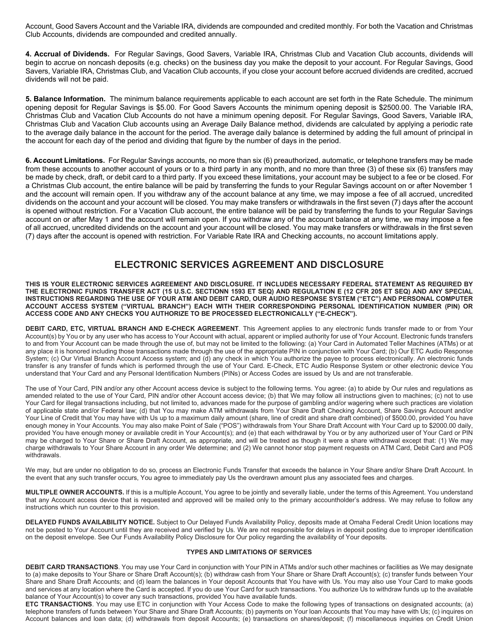Account, Good Savers Account and the Variable IRA, dividends are compounded and credited monthly. For both the Vacation and Christmas Club Accounts, dividends are compounded and credited annually.

**4. Accrual of Dividends.** For Regular Savings, Good Savers, Variable IRA, Christmas Club and Vacation Club accounts, dividends will begin to accrue on noncash deposits (e.g. checks) on the business day you make the deposit to your account. For Regular Savings, Good Savers, Variable IRA, Christmas Club, and Vacation Club accounts, if you close your account before accrued dividends are credited, accrued dividends will not be paid.

**5. Balance Information.** The minimum balance requirements applicable to each account are set forth in the Rate Schedule. The minimum opening deposit for Regular Savings is \$5.00. For Good Savers Accounts the minimum opening deposit is \$2500.00. The Variable IRA, Christmas Club and Vacation Club Accounts do not have a minimum opening deposit. For Regular Savings, Good Savers, Variable IRA, Christmas Club and Vacation Club accounts using an Average Daily Balance method, dividends are calculated by applying a periodic rate to the average daily balance in the account for the period. The average daily balance is determined by adding the full amount of principal in the account for each day of the period and dividing that figure by the number of days in the period.

**6. Account Limitations.** For Regular Savings accounts, no more than six (6) preauthorized, automatic, or telephone transfers may be made from these accounts to another account of yours or to a third party in any month, and no more than three (3) of these six (6) transfers may be made by check, draft, or debit card to a third party. If you exceed these limitations, your account may be subject to a fee or be closed. For a Christmas Club account, the entire balance will be paid by transferring the funds to your Regular Savings account on or after November 1 and the account will remain open. If you withdraw any of the account balance at any time, we may impose a fee of all accrued, uncredited dividends on the account and your account will be closed. You may make transfers or withdrawals in the first seven (7) days after the account is opened without restriction. For a Vacation Club account, the entire balance will be paid by transferring the funds to your Regular Savings account on or after May 1 and the account will remain open. If you withdraw any of the account balance at any time, we may impose a fee of all accrued, uncredited dividends on the account and your account will be closed. You may make transfers or withdrawals in the first seven (7) days after the account is opened with restriction. For Variable Rate IRA and Checking accounts, no account limitations apply.

## **ELECTRONIC SERVICES AGREEMENT AND DISCLOSURE**

**THIS IS YOUR ELECTRONIC SERVICES AGREEMENT AND DISCLOSURE. IT INCLUDES NECESSARY FEDERAL STATEMENT AS REQUIRED BY THE ELECTRONIC FUNDS TRANSFER ACT (15 U.S.C. SECTIONN 1593 ET SEQ) AND REGULATION E (12 CFR 205 ET SEQ) AND ANY SPECIAL INSTRUCTIONS REGARDING THE USE OF YOUR ATM AND DEBIT CARD, OUR AUDIO RESPONSE SYSTEM ("ETC") AND PERSONAL COMPUTER ACCOUNT ACCESS SYSTEM ("VIRTUAL BRANCH") EACH WITH THEIR CORRESPONDING PERSONAL IDENTIFICATION NUMBER (PIN) OR ACCESS CODE AND ANY CHECKS YOU AUTHORIZE TO BE PROCESSED ELECTRONICALLY ("E-CHECK").**

**DEBIT CARD, ETC, VIRTUAL BRANCH AND E-CHECK AGREEMENT**. This Agreement applies to any electronic funds transfer made to or from Your Account(s) by You or by any user who has access to Your Account with actual, apparent or implied authority for use of Your Account. Electronic funds transfers to and from Your Account can be made through the use of, but may not be limited to the following: (a) Your Card in Automated Teller Machines (ATMs) or at any place it is honored including those transactions made through the use of the appropriate PIN in conjunction with Your Card; (b) Our ETC Audio Response System; (c) Our Virtual Branch Account Access system; and (d) any check in which You authorize the payee to process electronically. An electronic funds transfer is any transfer of funds which is performed through the use of Your Card. E-Check, ETC Audio Response System or other electronic device You understand that Your Card and any Personal Identification Numbers (PINs) or Access Codes are issued by Us and are not transferable.

The use of Your Card, PIN and/or any other Account access device is subject to the following terms. You agree: (a) to abide by Our rules and regulations as amended related to the use of Your Card, PIN and/or other Account access device; (b) that We may follow all instructions given to machines; (c) not to use Your Card for illegal transactions including, but not limited to, advances made for the purpose of gambling and/or wagering where such practices are violation of applicable state and/or Federal law; (d) that You may make ATM withdrawals from Your Share Draft Checking Account, Share Savings Account and/or Your Line of Credit that You may have with Us up to a maximum daily amount (share, line of credit and share draft combined) of \$500.00, provided You have enough money in Your Accounts. You may also make Point of Sale ("POS") withdrawals from Your Share Draft Account with Your Card up to \$2000.00 daily, provided You have enough money or available credit in Your Account(s); and (e) that each withdrawal by You or by any authorized user of Your Card or PIN may be charged to Your Share or Share Draft Account, as appropriate, and will be treated as though it were a share withdrawal except that: (1) We may charge withdrawals to Your Share Account in any order We determine; and (2) We cannot honor stop payment requests on ATM Card, Debit Card and POS withdrawals.

We may, but are under no obligation to do so, process an Electronic Funds Transfer that exceeds the balance in Your Share and/or Share Draft Account. In the event that any such transfer occurs, You agree to immediately pay Us the overdrawn amount plus any associated fees and charges.

**MULTIPLE OWNER ACCOUNTS.** If this is a multiple Account, You agree to be jointly and severally liable, under the terms of this Agreement. You understand that any Account access device that is requested and approved will be mailed only to the primary accountholder's address. We may refuse to follow any instructions which run counter to this provision.

**DELAYED FUNDS AVAILABILITY NOTICE.** Subject to Our Delayed Funds Availability Policy, deposits made at Omaha Federal Credit Union locations may not be posted to Your Account until they are received and verified by Us. We are not responsible for delays in deposit posting due to improper identification on the deposit envelope. See Our Funds Availability Policy Disclosure for Our policy regarding the availability of Your deposits.

## **TYPES AND LIMITATIONS OF SERVICES**

**DEBIT CARD TRANSACTIONS**. You may use Your Card in conjunction with Your PIN in ATMs and/or such other machines or facilities as We may designate to (a) make deposits to Your Share or Share Draft Account(s); (b) withdraw cash from Your Share or Share Draft Account(s); (c) transfer funds between Your Share and Share Draft Accounts; and (d) learn the balances in Your deposit Accounts that You have with Us. You may also use Your Card to make goods and services at any location where the Card is accepted. If you do use Your Card for such transactions. You authorize Us to withdraw funds up to the available balance of Your Account(s) to cover any such transactions, provided You have available funds.

**ETC TRANSACTIONS**. You may use ETC in conjunction with Your Access Code to make the following types of transactions on designated accounts; (a) telephone transfers of funds between Your Share and Share Draft Accounts; (b) payments on Your loan Accounts that You may have with Us; (c) inquires on Account balances and loan data; (d) withdrawals from deposit Accounts; (e) transactions on shares/deposit; (f) miscellaneous inquiries on Credit Union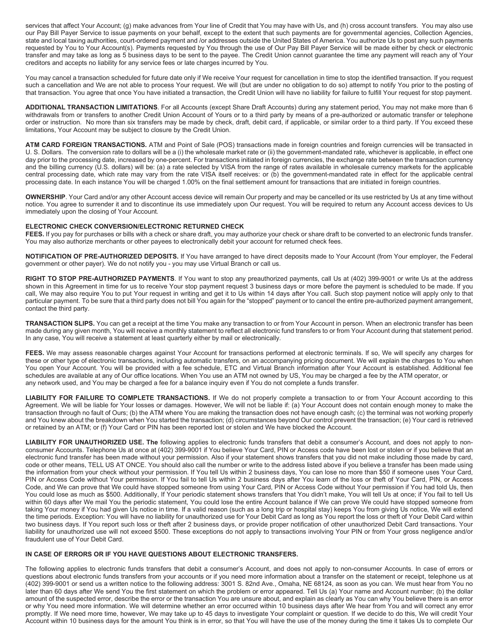services that affect Your Account; (g) make advances from Your line of Credit that You may have with Us, and (h) cross account transfers. You may also use our Pay Bill Payer Service to issue payments on your behalf, except to the extent that such payments are for governmental agencies, Collection Agencies, state and local taxing authorities, court-ordered payment and /or addresses outside the United States of America. You authorize Us to post any such payments requested by You to Your Account(s). Payments requested by You through the use of Our Pay Bill Payer Service will be made either by check or electronic transfer and may take as long as 5 business days to be sent to the payee. The Credit Union cannot guarantee the time any payment will reach any of Your creditors and accepts no liability for any service fees or late charges incurred by You.

You may cancel a transaction scheduled for future date only if We receive Your request for cancellation in time to stop the identified transaction. If you request such a cancellation and We are not able to process Your request. We will (but are under no obligation to do so) attempt to notify You prior to the posting of that transaction. You agree that once You have initiated a transaction, the Credit Union will have no liability for failure to fulfill Your request for stop payment.

**ADDITIONAL TRANSACTION LIMITATIONS**. For all Accounts (except Share Draft Accounts) during any statement period, You may not make more than 6 withdrawals from or transfers to another Credit Union Account of Yours or to a third party by means of a pre-authorized or automatic transfer or telephone order or instruction. No more than six transfers may be made by check, draft, debit card, if applicable, or similar order to a third party. If You exceed these limitations, Your Account may be subject to closure by the Credit Union.

**ATM CARD FOREIGN TRANSACTIONS.** ATM and Point of Sale (POS) transactions made in foreign countries and foreign currencies will be transacted in U. S. Dollars. The conversion rate to dollars will be a (i) the wholesale market rate or (ii) the government-mandated rate, whichever is applicable, in effect one day prior to the processing date, increased by one-percent. For transactions initiated in foreign currencies, the exchange rate between the transaction currency and the billing currency (U.S. dollars) will be: (a) a rate selected by VISA from the range of rates available in wholesale currency markets for the applicable central processing date, which rate may vary from the rate VISA itself receives: or (b) the government-mandated rate in effect for the applicable central processing date. In each instance You will be charged 1.00% on the final settlement amount for transactions that are initiated in foreign countries.

**OWNERSHIP**. Your Card and/or any other Account access device will remain Our property and may be cancelled or its use restricted by Us at any time without notice. You agree to surrender it and to discontinue its use immediately upon Our request. You will be required to return any Account access devices to Us immediately upon the closing of Your Account.

#### **ELECTRONIC CHECK CONVERSION/ELECTRONIC RETURNED CHECK**

**FEES.** If you pay for purchases or bills with a check or share draft, you may authorize your check or share draft to be converted to an electronic funds transfer. You may also authorize merchants or other payees to electronically debit your account for returned check fees.

**NOTIFICATION OF PRE-AUTHORIZED DEPOSITS.** If You have arranged to have direct deposits made to Your Account (from Your employer, the Federal government or other payer). We do not notify you - you may use Virtual Branch or call us.

**RIGHT TO STOP PRE-AUTHORIZED PAYMENTS**. If You want to stop any preauthorized payments, call Us at (402) 399-9001 or write Us at the address shown in this Agreement in time for us to receive Your stop payment request 3 business days or more before the payment is scheduled to be made. If you call, We may also require You to put Your request in writing and get it to Us within 14 days after You call. Such stop payment notice will apply only to that particular payment. To be sure that a third party does not bill You again for the "stopped" payment or to cancel the entire pre-authorized payment arrangement, contact the third party.

**TRANSACTION SLIPS.** You can get a receipt at the time You make any transaction to or from Your Account in person. When an electronic transfer has been made during any given month, You will receive a monthly statement to reflect all electronic fund transfers to or from Your Account during that statement period. In any case, You will receive a statement at least quarterly either by mail or electronically.

**FEES.** We may assess reasonable charges against Your Account for transactions performed at electronic terminals. If so, We will specify any charges for these or other type of electronic transactions, including automatic transfers, on an accompanying pricing document. We will explain the charges to You when You open Your Account. You will be provided with a fee schedule, ETC and Virtual Branch information after Your Account is established. Additional fee schedules are available at any of Our office locations. When You use an ATM not owned by US, You may be charged a fee by the ATM operator, or any network used, and You may be charged a fee for a balance inquiry even if You do not complete a funds transfer.

**LIABILITY FOR FAILURE TO COMPLETE TRANSACTIONS.** If We do not properly complete a transaction to or from Your Account according to this Agreement. We will be liable for Your losses or damages. However, We will not be liable if: (a) Your Account does not contain enough money to make the transaction through no fault of Ours; (b) the ATM where You are making the transaction does not have enough cash; (c) the terminal was not working properly and You knew about the breakdown when You started the transaction; (d) circumstances beyond Our control prevent the transaction; (e) Your card is retrieved or retained by an ATM; or (f) Your Card or PIN has been reported lost or stolen and We have blocked the Account.

**LIABILITY FOR UNAUTHORIZED USE. The** following applies to electronic funds transfers that debit a consumer's Account, and does not apply to nonconsumer Accounts. Telephone Us at once at (402) 399-9001 if You believe Your Card, PIN or Access code have been lost or stolen or if you believe that an electronic fund transfer has been made without your permission. Also if your statement shows transfers that you did not make including those made by card, code or other means, TELL US AT ONCE. You should also call the number or write to the address listed above if you believe a transfer has been made using the information from your check without your permission. If You tell Us within 2 business days, You can lose no more than \$50 if someone uses Your Card, PIN or Access Code without Your permission. If You fail to tell Us within 2 business days after You learn of the loss or theft of Your Card, PIN, or Access Code, and We can prove that We could have stopped someone from using Your Card, PIN or Access Code without Your permission if You had told Us, then You could lose as much as \$500. Additionally, If Your periodic statement shows transfers that You didn't make, You will tell Us at once; if You fail to tell Us within 60 days after We mail You the periodic statement, You could lose the entire Account balance if We can prove We could have stopped someone from taking Your money if You had given Us notice in time. If a valid reason (such as a long trip or hospital stay) keeps You from giving Us notice, We will extend the time periods. Exception: You will have no liability for unauthorized use for Your Debit Card as long as You report the loss or theft of Your Debit Card within two business days. If You report such loss or theft after 2 business days, or provide proper notification of other unauthorized Debit Card transactions. Your liability for unauthorized use will not exceed \$500. These exceptions do not apply to transactions involving Your PIN or from Your gross negligence and/or fraudulent use of Your Debit Card.

## **IN CASE OF ERRORS OR IF YOU HAVE QUESTIONS ABOUT ELECTRONIC TRANSFERS.**

The following applies to electronic funds transfers that debit a consumer's Account, and does not apply to non-consumer Accounts. In case of errors or questions about electronic funds transfers from your accounts or if you need more information about a transfer on the statement or receipt, telephone us at (402) 399-9001 or send us a written notice to the following address: 3001 S. 82nd Ave., Omaha, NE 68124, as soon as you can. We must hear from You no later than 60 days after We send You the first statement on which the problem or error appeared. Tell Us (a) Your name and Account number; (b) the dollar amount of the suspected error, describe the error or the transaction You are unsure about, and explain as clearly as You can why You believe there is an error or why You need more information. We will determine whether an error occurred within 10 business days after We hear from You and will correct any error promptly. If We need more time, however, We may take up to 45 days to investigate Your complaint or question. If we decide to do this, We will credit Your Account within 10 business days for the amount You think is in error, so that You will have the use of the money during the time it takes Us to complete Our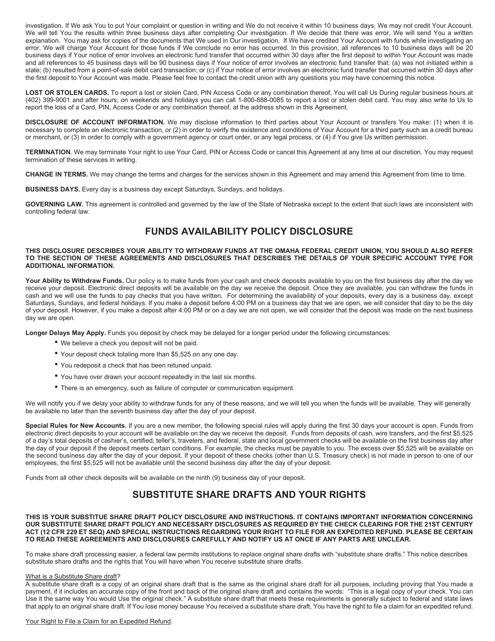investigation. If We ask You to put Your complaint or question in writing and We do not receive it within 10 business days, We may not credit Your Account. We will tell You the results within three business days after completing Our investigation. If We decide that there was error, We will send You a written explanation. You may ask for copies of the documents that We used in Our investigation. If We have credited Your Account with funds while investigating an error, We will charge Your Account for those funds if We conclude no error has occurred. In this provision, all references to 10 business days will be 20 business days if Your notice of error involves an electronic fund transfer that occurred within 30 days after the first deposit to within Your Account was made and all references to 45 business days will be 90 business days if Your notice of error involves an electronic fund transfer that: (a) was not initiated within a state; (b) resulted from a point-of-sale debit card transaction; or (c) if Your notice of error involves an electronic fund transfer that occurred within 30 days after the first deposit to Your Account was made. Please feel free to contact the credit union with any questions you may have concerning this notice.

**LOST OR STOLEN CARDS.** To report a lost or stolen Card, PIN Access Code or any combination thereof, You will call Us During regular business hours at (402) 399-9001 and after hours, on weekends and holidays you can call 1-800-888-0085 to report a lost or stolen debit card. You may also write to Us to report the loss of a Card, PIN, Access Code or any combination thereof, at the address shown in this Agreement.

**DISCLOSURE OF ACCOUNT INFORMATION.** We may disclose information to third parties about Your Account or transfers You make: (1) when it is necessary to complete an electronic transaction, or (2) in order to verify the existence and conditions of Your Account for a third party such as a credit bureau or merchant, or (3) in order to comply with a government agency or court order, or any legal process, or (4) if You give Us written permission.

**TERMINATION**. We may terminate Your right to use Your Card, PIN or Access Code or cancel this Agreement at any time at our discretion. You may request termination of these services in writing.

**CHANGE IN TERMS.** We may change the terms and charges for the services shown in this Agreement and may amend this Agreement from time to time.

**BUSINESS DAYS.** Every day is a business day except Saturdays, Sundays, and holidays.

**GOVERNING LAW.** This agreement is controlled and governed by the law of the State of Nebraska except to the extent that such laws are inconsistent with controlling federal law.

## **FUNDS AVAILABILITY POLICY DISCLOSURE**

#### **THIS DISCLOSURE DESCRIBES YOUR ABILITY TO WITHDRAW FUNDS AT THE OMAHA FEDERAL CREDIT UNION, YOU SHOULD ALSO REFER TO THE SECTION OF THESE AGREEMENTS AND DISCLOSURES THAT DESCRIBES THE DETAILS OF YOUR SPECIFIC ACCOUNT TYPE FOR ADDITIONAL INFORMATION.**

Your Ability to Withdraw Funds. Our policy is to make funds from your cash and check deposits available to you on the first business day after the day we receive your deposit. Electronic direct deposits will be available on the day we receive the deposit. Once they are available, you can withdraw the funds in cash and we will use the funds to pay checks that you have written. For determining the availability of your deposits, every day is a business day, except Saturdays, Sundays, and federal holidays. If you make a deposit before 4:00 PM on a business day that we are open, we will consider that day to be the day of your deposit. However, if you make a deposit after 4:00 PM or on a day we are not open, we will consider that the deposit was made on the next business day we are open.

**Longer Delays May Apply.** Funds you deposit by check may be delayed for a longer period under the following circumstances:

- We believe a check you deposit will not be paid.
- Your deposit check totaling more than \$5,525 on any one day.
- You redeposit a check that has been retuned unpaid.
- You have over drawn your account repeatedly in the last six months.
- There is an emergency, such as failure of computer or communication equipment.

We will notify you if we delay your ability to withdraw funds for any of these reasons, and we will tell you when the funds will be available. They will generally be available no later than the seventh business day after the day of your deposit.

**Special Rules for New Accounts.** If you are a new member, the following special rules will apply during the first 30 days your account is open. Funds from electronic direct deposits to your account will be available on the day we receive the deposit. Funds from deposits of cash, wire transfers, and the first \$5,525 of a day's total deposits of cashier's, certified, teller's, travelers, and federal, state and local government checks will be available on the first business day after the day of your deposit if the deposit meets certain conditions. For example, the checks must be payable to you. The excess over \$5,525 will be available on the second business day after the day of your deposit. If your deposit of these checks (other than U.S. Treasury check) is not made in person to one of our employees, the first \$5,525 will not be available until the second business day after the day of your deposit.

Funds from all other check deposits will be available on the ninth (9) business day of your deposit.

## **SUBSTITUTE SHARE DRAFTS AND YOUR RIGHTS**

**THIS IS YOUR SUBSTITUE SHARE DRAFT POLICY DISCLOSURE AND INSTRUCTIONS. IT CONTAINS IMPORTANT INFORMATION CONCERNING OUR SUBSTITUTE SHARE DRAFT POLICY AND NECESSARY DISCLOSURES AS REQUIRED BY THE CHECK CLEARING FOR THE 21ST CENTURY ACT (12 CFR 229 ET SEQ) AND SPECIAL INSTRUCTIONS REGARDING YOUR RIGHT TO FILE FOR AN EXPEDITED REFUND. PLEASE BE CERTAIN TO READ THESE AGREEMENTS AND DISCLOSURES CAREFULLY AND NOTIFY US AT ONCE IF ANY PARTS ARE UNCLEAR.**

To make share draft processing easier, a federal law permits institutions to replace original share drafts with "substitute share drafts." This notice describes substitute share drafts and the rights that You will have when You receive substitute share drafts.

#### What is a Substitute Share draft?

A substitute share draft is a copy of an original share draft that is the same as the original share draft for all purposes, including proving that You made a payment, if it includes an accurate copy of the front and back of the original share draft and contains the words: "This is a legal copy of your check. You can Use it the same way You would Use the original check." A substitute share draft that meets these requirements is generally subject to federal and state laws that apply to an original share draft. If You lose money because You received a substitute share draft, You have the right to file a claim for an expedited refund.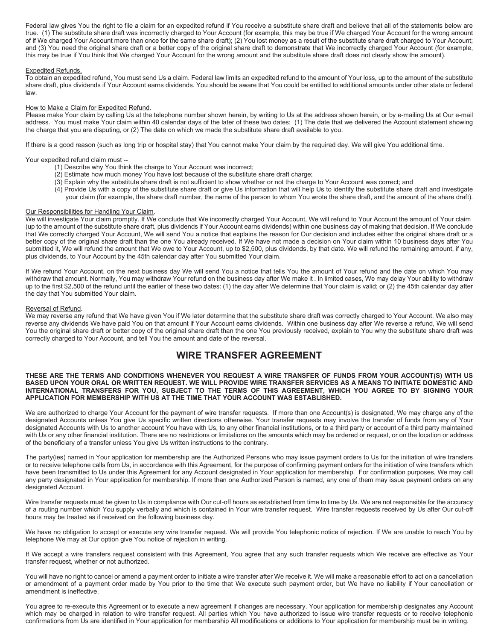Federal law gives You the right to file a claim for an expedited refund if You receive a substitute share draft and believe that all of the statements below are true. (1) The substitute share draft was incorrectly charged to Your Account (for example, this may be true if We charged Your Account for the wrong amount of if We charged Your Account more than once for the same share draft); (2) You lost money as a result of the substitute share draft charged to Your Account; and (3) You need the original share draft or a better copy of the original share draft to demonstrate that We incorrectly charged Your Account (for example, this may be true if You think that We charged Your Account for the wrong amount and the substitute share draft does not clearly show the amount).

#### Expedited Refunds.

To obtain an expedited refund, You must send Us a claim. Federal law limits an expedited refund to the amount of Your loss, up to the amount of the substitute share draft, plus dividends if Your Account earns dividends. You should be aware that You could be entitled to additional amounts under other state or federal law.

#### How to Make a Claim for Expedited Refund.

Please make Your claim by calling Us at the telephone number shown herein, by writing to Us at the address shown herein, or by e-mailing Us at Our e-mail address. You must make Your claim within 40 calendar days of the later of these two dates: (1) The date that we delivered the Account statement showing the charge that you are disputing, or (2) The date on which we made the substitute share draft available to you.

If there is a good reason (such as long trip or hospital stay) that You cannot make Your claim by the required day. We will give You additional time.

Your expedited refund claim must --

- (1) Describe why You think the charge to Your Account was incorrect;
- (2) Estimate how much money You have lost because of the substitute share draft charge;
- (3) Explain why the substitute share draft is not sufficient to show whether or not the charge to Your Account was correct; and
- (4) Provide Us with a copy of the substitute share draft or give Us information that will help Us to identify the substitute share draft and investigate your claim (for example, the share draft number, the name of the person to whom You wrote the share draft, and the amount of the share draft).

#### Our Responsibilities for Handling Your Claim.

We will investigate Your claim promptly. If We conclude that We incorrectly charged Your Account, We will refund to Your Account the amount of Your claim (up to the amount of the substitute share draft, plus dividends if Your Account earns dividends) within one business day of making that decision. If We conclude that We correctly charged Your Account, We will send You a notice that explains the reason for Our decision and includes either the original share draft or a better copy of the original share draft than the one You already received. If We have not made a decision on Your claim within 10 business days after You submitted it, We will refund the amount that We owe to Your Account, up to \$2,500, plus dividends, by that date. We will refund the remaining amount, if any, plus dividends, to Your Account by the 45th calendar day after You submitted Your claim.

If We refund Your Account, on the next business day We will send You a notice that tells You the amount of Your refund and the date on which You may withdraw that amount. Normally, You may withdraw Your refund on the business day after We make it . In limited cases, We may delay Your ability to withdraw up to the first \$2,500 of the refund until the earlier of these two dates: (1) the day after We determine that Your claim is valid; or (2) the 45th calendar day after the day that You submitted Your claim.

#### Reversal of Refund.

We may reverse any refund that We have given You if We later determine that the substitute share draft was correctly charged to Your Account. We also may reverse any dividends We have paid You on that amount if Your Account earns dividends. Within one business day after We reverse a refund, We will send You the original share draft or better copy of the original share draft than the one You previously received, explain to You why the substitute share draft was correctly charged to Your Account, and tell You the amount and date of the reversal.

## **WIRE TRANSFER AGREEMENT**

#### **THESE ARE THE TERMS AND CONDITIONS WHENEVER YOU REQUEST A WIRE TRANSFER OF FUNDS FROM YOUR ACCOUNT(S) WITH US BASED UPON YOUR ORAL OR WRITTEN REQUEST. WE WILL PROVIDE WIRE TRANSFER SERVICES AS A MEANS TO INITIATE DOMESTIC AND INTERNATIONAL TRANSFERS FOR YOU, SUBJECT TO THE TERMS OF THIS AGREEMENT, WHICH YOU AGREE TO BY SIGNING YOUR APPLICATION FOR MEMBERSHIP WITH US AT THE TIME THAT YOUR ACCOUNT WAS ESTABLISHED.**

We are authorized to charge Your Account for the payment of wire transfer requests. If more than one Account(s) is designated, We may charge any of the designated Accounts unless You give Us specific written directions otherwise. Your transfer requests may involve the transfer of funds from any of Your designated Accounts with Us to another account You have with Us, to any other financial institutions, or to a third party or account of a third party maintained with Us or any other financial institution. There are no restrictions or limitations on the amounts which may be ordered or request, or on the location or address of the beneficiary of a transfer unless You give Us written instructions to the contrary.

The party(ies) named in Your application for membership are the Authorized Persons who may issue payment orders to Us for the initiation of wire transfers or to receive telephone calls from Us, in accordance with this Agreement, for the purpose of confirming payment orders for the initiation of wire transfers which have been transmitted to Us under this Agreement for any Account designated in Your application for membership. For confirmation purposes, We may call any party designated in Your application for membership. If more than one Authorized Person is named, any one of them may issue payment orders on any designated Account.

Wire transfer requests must be given to Us in compliance with Our cut-off hours as established from time to time by Us. We are not responsible for the accuracy of a routing number which You supply verbally and which is contained in Your wire transfer request. Wire transfer requests received by Us after Our cut-off hours may be treated as if received on the following business day.

We have no obligation to accept or execute any wire transfer request. We will provide You telephonic notice of rejection. If We are unable to reach You by telephone We may at Our option give You notice of rejection in writing.

If We accept a wire transfers request consistent with this Agreement, You agree that any such transfer requests which We receive are effective as Your transfer request, whether or not authorized.

You will have no right to cancel or amend a payment order to initiate a wire transfer after We receive it. We will make a reasonable effort to act on a cancellation or amendment of a payment order made by You prior to the time that We execute such payment order, but We have no liability if Your cancellation or amendment is ineffective.

You agree to re-execute this Agreement or to execute a new agreement if changes are necessary. Your application for membership designates any Account which may be charged in relation to wire transfer request. All parties which You have authorized to issue wire transfer requests or to receive telephonic confirmations from Us are identified in Your application for membership All modifications or additions to Your application for membership must be in writing.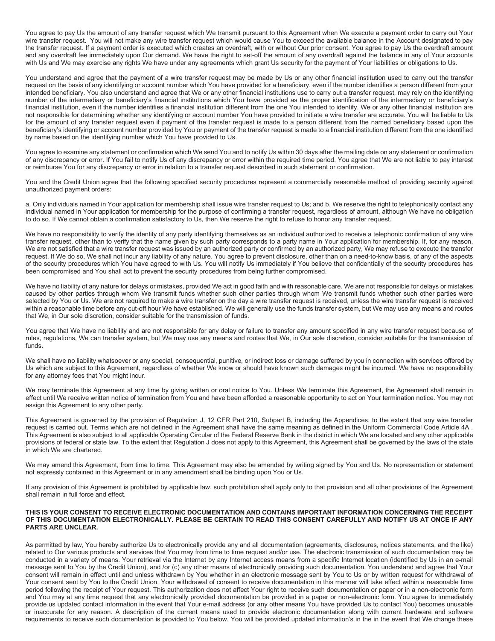You agree to pay Us the amount of any transfer request which We transmit pursuant to this Agreement when We execute a payment order to carry out Your wire transfer request. You will not make any wire transfer request which would cause You to exceed the available balance in the Account designated to pay the transfer request. If a payment order is executed which creates an overdraft, with or without Our prior consent. You agree to pay Us the overdraft amount and any overdraft fee immediately upon Our demand. We have the right to set-off the amount of any overdraft against the balance in any of Your accounts with Us and We may exercise any rights We have under any agreements which grant Us security for the payment of Your liabilities or obligations to Us.

You understand and agree that the payment of a wire transfer request may be made by Us or any other financial institution used to carry out the transfer request on the basis of any identifying or account number which You have provided for a beneficiary, even if the number identifies a person different from your intended beneficiary. You also understand and agree that We or any other financial institutions use to carry out a transfer request, may rely on the identifying number of the intermediary or beneficiary's financial institutions which You have provided as the proper identification of the intermediary or beneficiary's financial institution, even if the number identifies a financial institution different from the one You intended to identify. We or any other financial institution are not responsible for determining whether any identifying or account number You have provided to initiate a wire transfer are accurate. You will be liable to Us for the amount of any transfer request even if payment of the transfer request is made to a person different from the named beneficiary based upon the beneficiary's identifying or account number provided by You or payment of the transfer request is made to a financial institution different from the one identified by name based on the identifying number which You have provided to Us.

You agree to examine any statement or confirmation which We send You and to notify Us within 30 days after the mailing date on any statement or confirmation of any discrepancy or error. If You fail to notify Us of any discrepancy or error within the required time period. You agree that We are not liable to pay interest or reimburse You for any discrepancy or error in relation to a transfer request described in such statement or confirmation.

You and the Credit Union agree that the following specified security procedures represent a commercially reasonable method of providing security against unauthorized payment orders:

a. Only individuals named in Your application for membership shall issue wire transfer request to Us; and b. We reserve the right to telephonically contact any individual named in Your application for membership for the purpose of confirming a transfer request, regardless of amount, although We have no obligation to do so. If We cannot obtain a confirmation satisfactory to Us, then We reserve the right to refuse to honor any transfer request.

We have no responsibility to verify the identity of any party identifying themselves as an individual authorized to receive a telephonic confirmation of any wire transfer request, other than to verify that the name given by such party corresponds to a party name in Your application for membership. If, for any reason, We are not satisfied that a wire transfer request was issued by an authorized party or confirmed by an authorized party, We may refuse to execute the transfer request. If We do so, We shall not incur any liability of any nature. You agree to prevent disclosure, other than on a need-to-know basis, of any of the aspects of the security procedures which You have agreed to with Us. You will notify Us immediately if You believe that confidentially of the security procedures has been compromised and You shall act to prevent the security procedures from being further compromised.

We have no liability of any nature for delays or mistakes, provided We act in good faith and with reasonable care. We are not responsible for delays or mistakes caused by other parties through whom We transmit funds whether such other parties through whom We transmit funds whether such other parties were selected by You or Us. We are not required to make a wire transfer on the day a wire transfer request is received, unless the wire transfer request is received within a reasonable time before any cut-off hour We have established. We will generally use the funds transfer system, but We may use any means and routes that We, in Our sole discretion, consider suitable for the transmission of funds.

You agree that We have no liability and are not responsible for any delay or failure to transfer any amount specified in any wire transfer request because of rules, regulations, We can transfer system, but We may use any means and routes that We, in Our sole discretion, consider suitable for the transmission of funds.

We shall have no liability whatsoever or any special, consequential, punitive, or indirect loss or damage suffered by you in connection with services offered by Us which are subject to this Agreement, regardless of whether We know or should have known such damages might be incurred. We have no responsibility for any attorney fees that You might incur.

We may terminate this Agreement at any time by giving written or oral notice to You. Unless We terminate this Agreement, the Agreement shall remain in effect until We receive written notice of termination from You and have been afforded a reasonable opportunity to act on Your termination notice. You may not assign this Agreement to any other party.

This Agreement is governed by the provision of Regulation J, 12 CFR Part 210, Subpart B, including the Appendices, to the extent that any wire transfer request is carried out. Terms which are not defined in the Agreement shall have the same meaning as defined in the Uniform Commercial Code Article 4A . This Agreement is also subject to all applicable Operating Circular of the Federal Reserve Bank in the district in which We are located and any other applicable provisions of federal or state law. To the extent that Regulation J does not apply to this Agreement, this Agreement shall be governed by the laws of the state in which We are chartered.

We may amend this Agreement, from time to time. This Agreement may also be amended by writing signed by You and Us. No representation or statement not expressly contained in this Agreement or in any amendment shall be binding upon You or Us.

If any provision of this Agreement is prohibited by applicable law, such prohibition shall apply only to that provision and all other provisions of the Agreement shall remain in full force and effect.

#### **THIS IS YOUR CONSENT TO RECEIVE ELECTRONIC DOCUMENTATION AND CONTAINS IMPORTANT INFORMATION CONCERNING THE RECEIPT OF THIS DOCUMENTATION ELECTRONICALLY. PLEASE BE CERTAIN TO READ THIS CONSENT CAREFULLY AND NOTIFY US AT ONCE IF ANY PARTS ARE UNCLEAR.**

As permitted by law, You hereby authorize Us to electronically provide any and all documentation (agreements, disclosures, notices statements, and the like) related to Our various products and services that You may from time to time request and/or use. The electronic transmission of such documentation may be conducted in a variety of means. Your retrieval via the Internet by any Internet access means from a specific Internet location (identified by Us in an e-mail message sent to You by the Credit Union), and /or (c) any other means of electronically providing such documentation. You understand and agree that Your consent will remain in effect until and unless withdrawn by You whether in an electronic message sent by You to Us or by written request for withdrawal of Your consent sent by You to the Credit Union. Your withdrawal of consent to receive documentation in this manner will take effect within a reasonable time period following the receipt of Your request. This authorization does not affect Your right to receive such documentation or paper or in a non-electronic form and You may at any time request that any electronically provided documentation be provided in a paper or non-electronic form. You agree to immediately provide us updated contact information in the event that Your e-mail address (or any other means You have provided Us to contact You) becomes unusable or inaccurate for any reason. A description of the current means used to provide electronic documentation along with current hardware and software requirements to receive such documentation is provided to You below. You will be provided updated information's in the in the event that We change these